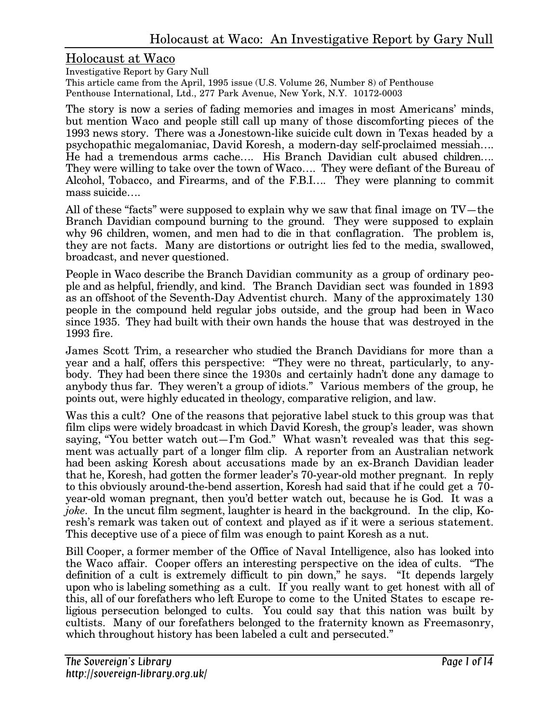#### Holocaust at Waco

Investigative Report by Gary Null

This article came from the April, 1995 issue (U.S. Volume 26, Number 8) of Penthouse Penthouse International, Ltd., 277 Park Avenue, New York, N.Y. 10172-0003

The story is now a series of fading memories and images in most Americans' minds, but mention Waco and people still call up many of those discomforting pieces of the 1993 news story. There was a Jonestown-like suicide cult down in Texas headed by a psychopathic megalomaniac, David Koresh, a modern-day self-proclaimed messiah…. He had a tremendous arms cache…. His Branch Davidian cult abused children…. They were willing to take over the town of Waco…. They were defiant of the Bureau of Alcohol, Tobacco, and Firearms, and of the F.B.I…. They were planning to commit mass suicide….

All of these "facts" were supposed to explain why we saw that final image on TV—the Branch Davidian compound burning to the ground. They were supposed to explain why 96 children, women, and men had to die in that conflagration. The problem is, they are not facts. Many are distortions or outright lies fed to the media, swallowed, broadcast, and never questioned.

People in Waco describe the Branch Davidian community as a group of ordinary people and as helpful, friendly, and kind. The Branch Davidian sect was founded in 1893 as an offshoot of the Seventh-Day Adventist church. Many of the approximately 130 people in the compound held regular jobs outside, and the group had been in Waco since 1935. They had built with their own hands the house that was destroyed in the 1993 fire.

James Scott Trim, a researcher who studied the Branch Davidians for more than a year and a half, offers this perspective: "They were no threat, particularly, to anybody. They had been there since the 1930s and certainly hadn't done any damage to anybody thus far. They weren't a group of idiots." Various members of the group, he points out, were highly educated in theology, comparative religion, and law.

Was this a cult? One of the reasons that pejorative label stuck to this group was that film clips were widely broadcast in which David Koresh, the group's leader, was shown saying, "You better watch out—I'm God." What wasn't revealed was that this segment was actually part of a longer film clip. A reporter from an Australian network had been asking Koresh about accusations made by an ex-Branch Davidian leader that he, Koresh, had gotten the former leader's 70-year-old mother pregnant. In reply to this obviously around-the-bend assertion, Koresh had said that if he could get a 70 year-old woman pregnant, then you'd better watch out, because he is God. It was a *joke.* In the uncut film segment, laughter is heard in the background. In the clip, Koresh's remark was taken out of context and played as if it were a serious statement. This deceptive use of a piece of film was enough to paint Koresh as a nut.

Bill Cooper, a former member of the Office of Naval Intelligence, also has looked into the Waco affair. Cooper offers an interesting perspective on the idea of cults. "The definition of a cult is extremely difficult to pin down," he says. "It depends largely upon who is labeling something as a cult. If you really want to get honest with all of this, all of our forefathers who left Europe to come to the United States to escape religious persecution belonged to cults. You could say that this nation was built by cultists. Many of our forefathers belonged to the fraternity known as Freemasonry, which throughout history has been labeled a cult and persecuted."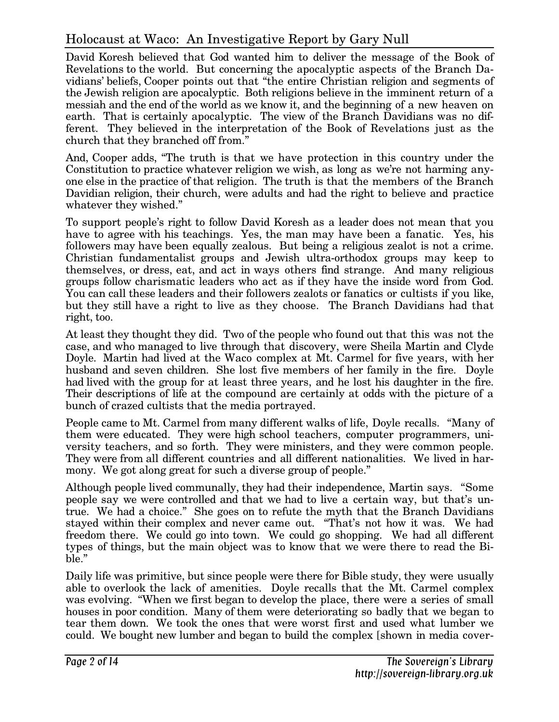David Koresh believed that God wanted him to deliver the message of the Book of Revelations to the world. But concerning the apocalyptic aspects of the Branch Davidians' beliefs, Cooper points out that "the entire Christian religion and segments of the Jewish religion are apocalyptic. Both religions believe in the imminent return of a messiah and the end of the world as we know it, and the beginning of a new heaven on earth. That is certainly apocalyptic. The view of the Branch Davidians was no different. They believed in the interpretation of the Book of Revelations just as the church that they branched off from."

And, Cooper adds, "The truth is that we have protection in this country under the Constitution to practice whatever religion we wish, as long as we're not harming anyone else in the practice of that religion. The truth is that the members of the Branch Davidian religion, their church, were adults and had the right to believe and practice whatever they wished."

To support people's right to follow David Koresh as a leader does not mean that you have to agree with his teachings. Yes, the man may have been a fanatic. Yes, his followers may have been equally zealous. But being a religious zealot is not a crime. Christian fundamentalist groups and Jewish ultra-orthodox groups may keep to themselves, or dress, eat, and act in ways others find strange. And many religious groups follow charismatic leaders who act as if they have the inside word from God. You can call these leaders and their followers zealots or fanatics or cultists if you like, but they still have a right to live as they choose. The Branch Davidians had that right, too.

At least they thought they did. Two of the people who found out that this was not the case, and who managed to live through that discovery, were Sheila Martin and Clyde Doyle. Martin had lived at the Waco complex at Mt. Carmel for five years, with her husband and seven children. She lost five members of her family in the fire. Doyle had lived with the group for at least three years, and he lost his daughter in the fire. Their descriptions of life at the compound are certainly at odds with the picture of a bunch of crazed cultists that the media portrayed.

People came to Mt. Carmel from many different walks of life, Doyle recalls. "Many of them were educated. They were high school teachers, computer programmers, university teachers, and so forth. They were ministers, and they were common people. They were from all different countries and all different nationalities. We lived in harmony. We got along great for such a diverse group of people."

Although people lived communally, they had their independence, Martin says. "Some people say we were controlled and that we had to live a certain way, but that's untrue. We had a choice." She goes on to refute the myth that the Branch Davidians stayed within their complex and never came out. "That's not how it was. We had freedom there. We could go into town. We could go shopping. We had all different types of things, but the main object was to know that we were there to read the Bible."

Daily life was primitive, but since people were there for Bible study, they were usually able to overlook the lack of amenities. Doyle recalls that the Mt. Carmel complex was evolving. "When we first began to develop the place, there were a series of small houses in poor condition. Many of them were deteriorating so badly that we began to tear them down. We took the ones that were worst first and used what lumber we could. We bought new lumber and began to build the complex [shown in media cover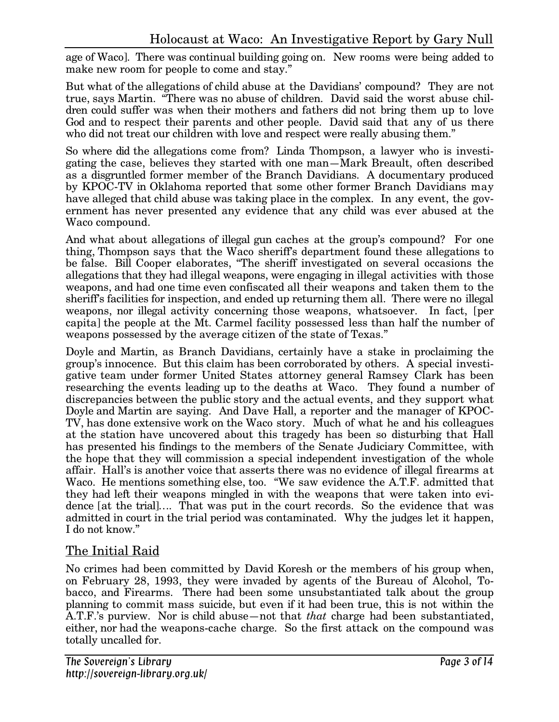age of Waco]. There was continual building going on. New rooms were being added to make new room for people to come and stay."

But what of the allegations of child abuse at the Davidians' compound? They are not true, says Martin. "There was no abuse of children. David said the worst abuse children could suffer was when their mothers and fathers did not bring them up to love God and to respect their parents and other people. David said that any of us there who did not treat our children with love and respect were really abusing them."

So where did the allegations come from? Linda Thompson, a lawyer who is investigating the case, believes they started with one man—Mark Breault, often described as a disgruntled former member of the Branch Davidians. A documentary produced by KPOC-TV in Oklahoma reported that some other former Branch Davidians may have alleged that child abuse was taking place in the complex. In any event, the government has never presented any evidence that any child was ever abused at the Waco compound.

And what about allegations of illegal gun caches at the group's compound? For one thing, Thompson says that the Waco sheriff's department found these allegations to be false. Bill Cooper elaborates, "The sheriff investigated on several occasions the allegations that they had illegal weapons, were engaging in illegal activities with those weapons, and had one time even confiscated all their weapons and taken them to the sheriff's facilities for inspection, and ended up returning them all. There were no illegal weapons, nor illegal activity concerning those weapons, whatsoever. In fact, [per capita] the people at the Mt. Carmel facility possessed less than half the number of weapons possessed by the average citizen of the state of Texas."

Doyle and Martin, as Branch Davidians, certainly have a stake in proclaiming the group's innocence. But this claim has been corroborated by others. A special investigative team under former United States attorney general Ramsey Clark has been researching the events leading up to the deaths at Waco. They found a number of discrepancies between the public story and the actual events, and they support what Doyle and Martin are saying. And Dave Hall, a reporter and the manager of KPOC-TV, has done extensive work on the Waco story. Much of what he and his colleagues at the station have uncovered about this tragedy has been so disturbing that Hall has presented his findings to the members of the Senate Judiciary Committee, with the hope that they will commission a special independent investigation of the whole affair. Hall's is another voice that asserts there was no evidence of illegal firearms at Waco. He mentions something else, too. "We saw evidence the A.T.F. admitted that they had left their weapons mingled in with the weapons that were taken into evidence [at the trial]…. That was put in the court records. So the evidence that was admitted in court in the trial period was contaminated. Why the judges let it happen, I do not know."

## The Initial Raid

No crimes had been committed by David Koresh or the members of his group when, on February 28, 1993, they were invaded by agents of the Bureau of Alcohol, Tobacco, and Firearms. There had been some unsubstantiated talk about the group planning to commit mass suicide, but even if it had been true, this is not within the A.T.F.'s purview. Nor is child abuse—not that *that* charge had been substantiated, either, nor had the weapons-cache charge. So the first attack on the compound was totally uncalled for.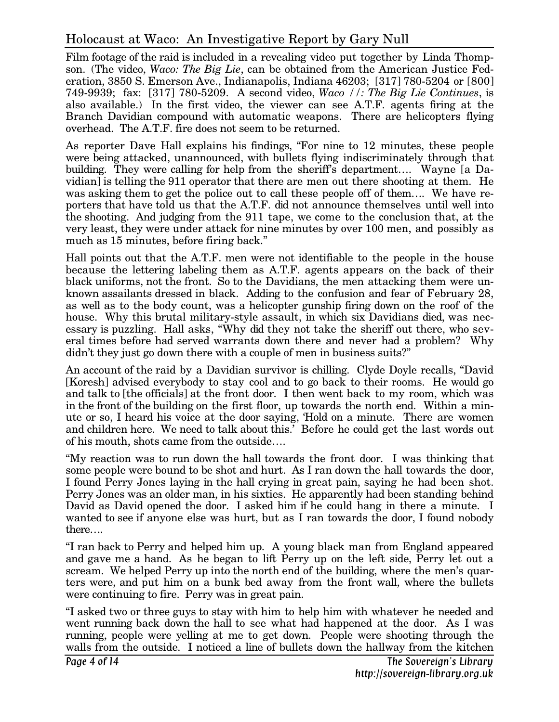Film footage of the raid is included in a revealing video put together by Linda Thompson. (The video, *Waco: The Big Lie*, can be obtained from the American Justice Federation, 3850 S. Emerson Ave., Indianapolis, Indiana 46203; [317] 780-5204 or [800] 749-9939; fax: [317] 780-5209. A second video, *Waco //: The Big Lie Continues*, is also available.) In the first video, the viewer can see A.T.F. agents firing at the Branch Davidian compound with automatic weapons. There are helicopters flying overhead. The A.T.F. fire does not seem to be returned.

As reporter Dave Hall explains his findings, "For nine to 12 minutes, these people were being attacked, unannounced, with bullets flying indiscriminately through that building. They were calling for help from the sheriff's department…. Wayne [a Davidian] is telling the 911 operator that there are men out there shooting at them. He was asking them to get the police out to call these people off of them…. We have reporters that have told us that the A.T.F. did not announce themselves until well into the shooting. And judging from the 911 tape, we come to the conclusion that, at the very least, they were under attack for nine minutes by over 100 men, and possibly as much as 15 minutes, before firing back."

Hall points out that the A.T.F. men were not identifiable to the people in the house because the lettering labeling them as A.T.F. agents appears on the back of their black uniforms, not the front. So to the Davidians, the men attacking them were unknown assailants dressed in black. Adding to the confusion and fear of February 28, as well as to the body count, was a helicopter gunship firing down on the roof of the house. Why this brutal military-style assault, in which six Davidians died, was necessary is puzzling. Hall asks, "Why did they not take the sheriff out there, who several times before had served warrants down there and never had a problem? Why didn't they just go down there with a couple of men in business suits?"

An account of the raid by a Davidian survivor is chilling. Clyde Doyle recalls, "David [Koresh] advised everybody to stay cool and to go back to their rooms. He would go and talk to [the officials] at the front door. I then went back to my room, which was in the front of the building on the first floor, up towards the north end. Within a minute or so, I heard his voice at the door saying, 'Hold on a minute. There are women and children here. We need to talk about this.' Before he could get the last words out of his mouth, shots came from the outside….

"My reaction was to run down the hall towards the front door. I was thinking that some people were bound to be shot and hurt. As I ran down the hall towards the door, I found Perry Jones laying in the hall crying in great pain, saying he had been shot. Perry Jones was an older man, in his sixties. He apparently had been standing behind David as David opened the door. I asked him if he could hang in there a minute. I wanted to see if anyone else was hurt, but as I ran towards the door, I found nobody there….

"I ran back to Perry and helped him up. A young black man from England appeared and gave me a hand. As he began to lift Perry up on the left side, Perry let out a scream. We helped Perry up into the north end of the building, where the men's quarters were, and put him on a bunk bed away from the front wall, where the bullets were continuing to fire. Perry was in great pain.

"I asked two or three guys to stay with him to help him with whatever he needed and went running back down the hall to see what had happened at the door. As I was running, people were yelling at me to get down. People were shooting through the walls from the outside. I noticed a line of bullets down the hallway from the kitchen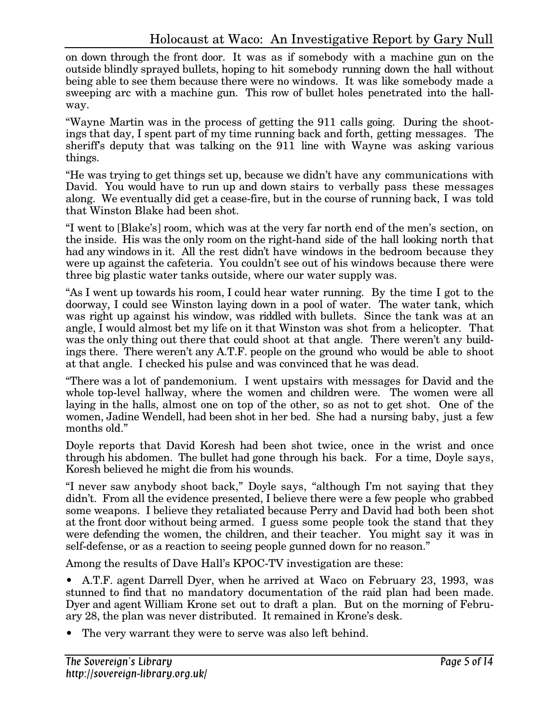on down through the front door. It was as if somebody with a machine gun on the outside blindly sprayed bullets, hoping to hit somebody running down the hall without being able to see them because there were no windows. It was like somebody made a sweeping arc with a machine gun. This row of bullet holes penetrated into the hallway.

"Wayne Martin was in the process of getting the 911 calls going. During the shootings that day, I spent part of my time running back and forth, getting messages. The sheriff's deputy that was talking on the 911 line with Wayne was asking various things.

"He was trying to get things set up, because we didn't have any communications with David. You would have to run up and down stairs to verbally pass these messages along. We eventually did get a cease-fire, but in the course of running back, I was told that Winston Blake had been shot.

"I went to [Blake's] room, which was at the very far north end of the men's section, on the inside. His was the only room on the right-hand side of the hall looking north that had any windows in it. All the rest didn't have windows in the bedroom because they were up against the cafeteria. You couldn't see out of his windows because there were three big plastic water tanks outside, where our water supply was.

"As I went up towards his room, I could hear water running. By the time I got to the doorway, I could see Winston laying down in a pool of water. The water tank, which was right up against his window, was riddled with bullets. Since the tank was at an angle, I would almost bet my life on it that Winston was shot from a helicopter. That was the only thing out there that could shoot at that angle. There weren't any buildings there. There weren't any A.T.F. people on the ground who would be able to shoot at that angle. I checked his pulse and was convinced that he was dead.

"There was a lot of pandemonium. I went upstairs with messages for David and the whole top-level hallway, where the women and children were. The women were all laying in the halls, almost one on top of the other, so as not to get shot. One of the women, Jadine Wendell, had been shot in her bed. She had a nursing baby, just a few months old."

Doyle reports that David Koresh had been shot twice, once in the wrist and once through his abdomen. The bullet had gone through his back. For a time, Doyle says, Koresh believed he might die from his wounds.

"I never saw anybody shoot back," Doyle says, "although I'm not saying that they didn't. From all the evidence presented, I believe there were a few people who grabbed some weapons. I believe they retaliated because Perry and David had both been shot at the front door without being armed. I guess some people took the stand that they were defending the women, the children, and their teacher. You might say it was in self-defense, or as a reaction to seeing people gunned down for no reason."

Among the results of Dave Hall's KPOC-TV investigation are these:

• A.T.F. agent Darrell Dyer, when he arrived at Waco on February 23, 1993, was stunned to find that no mandatory documentation of the raid plan had been made. Dyer and agent William Krone set out to draft a plan. But on the morning of February 28, the plan was never distributed. It remained in Krone's desk.

• The very warrant they were to serve was also left behind.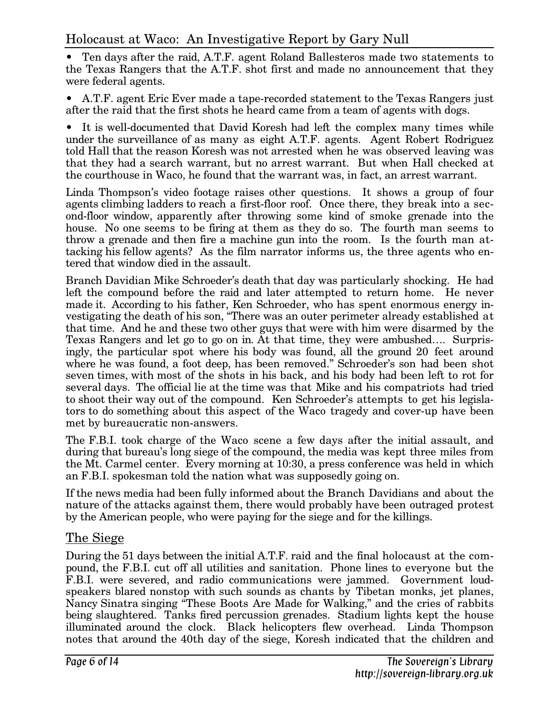• Ten days after the raid, A.T.F. agent Roland Ballesteros made two statements to the Texas Rangers that the A.T.F. shot first and made no announcement that they were federal agents.

• A.T.F. agent Eric Ever made a tape-recorded statement to the Texas Rangers just after the raid that the first shots he heard came from a team of agents with dogs.

• It is well-documented that David Koresh had left the complex many times while under the surveillance of as many as eight A.T.F. agents. Agent Robert Rodriguez told Hall that the reason Koresh was not arrested when he was observed leaving was that they had a search warrant, but no arrest warrant. But when Hall checked at the courthouse in Waco, he found that the warrant was, in fact, an arrest warrant.

Linda Thompson's video footage raises other questions. It shows a group of four agents climbing ladders to reach a first-floor roof. Once there, they break into a second-floor window, apparently after throwing some kind of smoke grenade into the house. No one seems to be firing at them as they do so. The fourth man seems to throw a grenade and then fire a machine gun into the room. Is the fourth man attacking his fellow agents? As the film narrator informs us, the three agents who entered that window died in the assault.

Branch Davidian Mike Schroeder's death that day was particularly shocking. He had left the compound before the raid and later attempted to return home. He never made it. According to his father, Ken Schroeder, who has spent enormous energy investigating the death of his son, "There was an outer perimeter already established at that time. And he and these two other guys that were with him were disarmed by the Texas Rangers and let go to go on in. At that time, they were ambushed…. Surprisingly, the particular spot where his body was found, all the ground 20 feet around where he was found, a foot deep, has been removed." Schroeder's son had been shot seven times, with most of the shots in his back, and his body had been left to rot for several days. The official lie at the time was that Mike and his compatriots had tried to shoot their way out of the compound. Ken Schroeder's attempts to get his legislators to do something about this aspect of the Waco tragedy and cover-up have been met by bureaucratic non-answers.

The F.B.I. took charge of the Waco scene a few days after the initial assault, and during that bureau's long siege of the compound, the media was kept three miles from the Mt. Carmel center. Every morning at 10:30, a press conference was held in which an F.B.I. spokesman told the nation what was supposedly going on.

If the news media had been fully informed about the Branch Davidians and about the nature of the attacks against them, there would probably have been outraged protest by the American people, who were paying for the siege and for the killings.

## The Siege

During the 51 days between the initial A.T.F. raid and the final holocaust at the compound, the F.B.I. cut off all utilities and sanitation. Phone lines to everyone but the F.B.I. were severed, and radio communications were jammed. Government loudspeakers blared nonstop with such sounds as chants by Tibetan monks, jet planes, Nancy Sinatra singing "These Boots Are Made for Walking," and the cries of rabbits being slaughtered. Tanks fired percussion grenades. Stadium lights kept the house illuminated around the clock. Black helicopters flew overhead. Linda Thompson notes that around the 40th day of the siege, Koresh indicated that the children and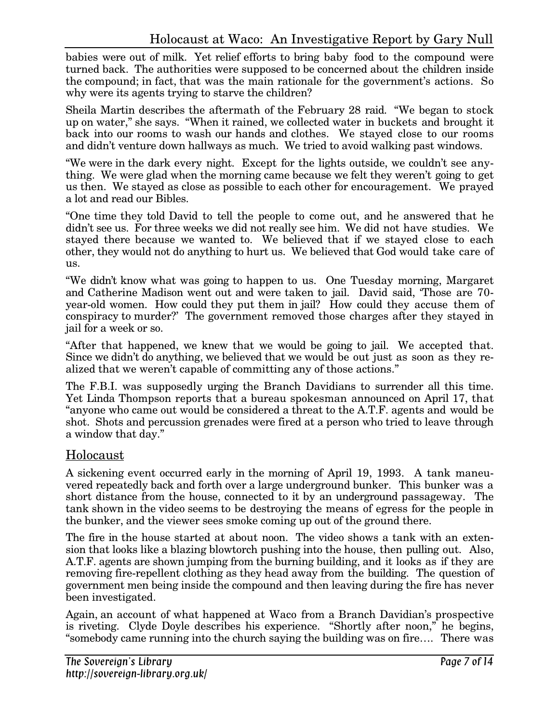babies were out of milk. Yet relief efforts to bring baby food to the compound were turned back. The authorities were supposed to be concerned about the children inside the compound; in fact, that was the main rationale for the government's actions. So why were its agents trying to starve the children?

Sheila Martin describes the aftermath of the February 28 raid. "We began to stock up on water," she says. "When it rained, we collected water in buckets and brought it back into our rooms to wash our hands and clothes. We stayed close to our rooms and didn't venture down hallways as much. We tried to avoid walking past windows.

"We were in the dark every night. Except for the lights outside, we couldn't see anything. We were glad when the morning came because we felt they weren't going to get us then. We stayed as close as possible to each other for encouragement. We prayed a lot and read our Bibles.

"One time they told David to tell the people to come out, and he answered that he didn't see us. For three weeks we did not really see him. We did not have studies. We stayed there because we wanted to. We believed that if we stayed close to each other, they would not do anything to hurt us. We believed that God would take care of us.

"We didn't know what was going to happen to us. One Tuesday morning, Margaret and Catherine Madison went out and were taken to jail. David said, 'Those are 70 year-old women. How could they put them in jail? How could they accuse them of conspiracy to murder?' The government removed those charges after they stayed in jail for a week or so.

"After that happened, we knew that we would be going to jail. We accepted that. Since we didn't do anything, we believed that we would be out just as soon as they realized that we weren't capable of committing any of those actions."

The F.B.I. was supposedly urging the Branch Davidians to surrender all this time. Yet Linda Thompson reports that a bureau spokesman announced on April 17, that "anyone who came out would be considered a threat to the A.T.F. agents and would be shot. Shots and percussion grenades were fired at a person who tried to leave through a window that day."

### Holocaust

A sickening event occurred early in the morning of April 19, 1993. A tank maneuvered repeatedly back and forth over a large underground bunker. This bunker was a short distance from the house, connected to it by an underground passageway. The tank shown in the video seems to be destroying the means of egress for the people in the bunker, and the viewer sees smoke coming up out of the ground there.

The fire in the house started at about noon. The video shows a tank with an extension that looks like a blazing blowtorch pushing into the house, then pulling out. Also, A.T.F. agents are shown jumping from the burning building, and it looks as if they are removing fire-repellent clothing as they head away from the building. The question of government men being inside the compound and then leaving during the fire has never been investigated.

Again, an account of what happened at Waco from a Branch Davidian's prospective is riveting. Clyde Doyle describes his experience. "Shortly after noon," he begins, "somebody came running into the church saying the building was on fire…. There was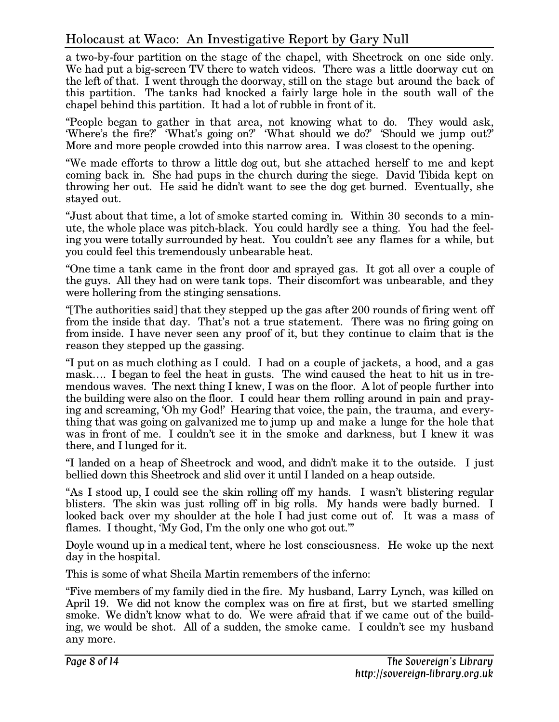a two-by-four partition on the stage of the chapel, with Sheetrock on one side only. We had put a big-screen TV there to watch videos. There was a little doorway cut on the left of that. I went through the doorway, still on the stage but around the back of this partition. The tanks had knocked a fairly large hole in the south wall of the chapel behind this partition. It had a lot of rubble in front of it.

"People began to gather in that area, not knowing what to do. They would ask, 'Where's the fire?' 'What's going on?' 'What should we do?' 'Should we jump out?' More and more people crowded into this narrow area. I was closest to the opening.

"We made efforts to throw a little dog out, but she attached herself to me and kept coming back in. She had pups in the church during the siege. David Tibida kept on throwing her out. He said he didn't want to see the dog get burned. Eventually, she stayed out.

"Just about that time, a lot of smoke started coming in. Within 30 seconds to a minute, the whole place was pitch-black. You could hardly see a thing. You had the feeling you were totally surrounded by heat. You couldn't see any flames for a while, but you could feel this tremendously unbearable heat.

"One time a tank came in the front door and sprayed gas. It got all over a couple of the guys. All they had on were tank tops. Their discomfort was unbearable, and they were hollering from the stinging sensations.

"[The authorities said] that they stepped up the gas after 200 rounds of firing went off from the inside that day. That's not a true statement. There was no firing going on from inside. I have never seen any proof of it, but they continue to claim that is the reason they stepped up the gassing.

"I put on as much clothing as I could. I had on a couple of jackets, a hood, and a gas mask…. I began to feel the heat in gusts. The wind caused the heat to hit us in tremendous waves. The next thing I knew, I was on the floor. A lot of people further into the building were also on the floor. I could hear them rolling around in pain and praying and screaming, 'Oh my God!' Hearing that voice, the pain, the trauma, and everything that was going on galvanized me to jump up and make a lunge for the hole that was in front of me. I couldn't see it in the smoke and darkness, but I knew it was there, and I lunged for it.

"I landed on a heap of Sheetrock and wood, and didn't make it to the outside. I just bellied down this Sheetrock and slid over it until I landed on a heap outside.

"As I stood up, I could see the skin rolling off my hands. I wasn't blistering regular blisters. The skin was just rolling off in big rolls. My hands were badly burned. I looked back over my shoulder at the hole I had just come out of. It was a mass of flames. I thought, 'My God, I'm the only one who got out.'"

Doyle wound up in a medical tent, where he lost consciousness. He woke up the next day in the hospital.

This is some of what Sheila Martin remembers of the inferno:

"Five members of my family died in the fire. My husband, Larry Lynch, was killed on April 19. We did not know the complex was on fire at first, but we started smelling smoke. We didn't know what to do. We were afraid that if we came out of the building, we would be shot. All of a sudden, the smoke came. I couldn't see my husband any more.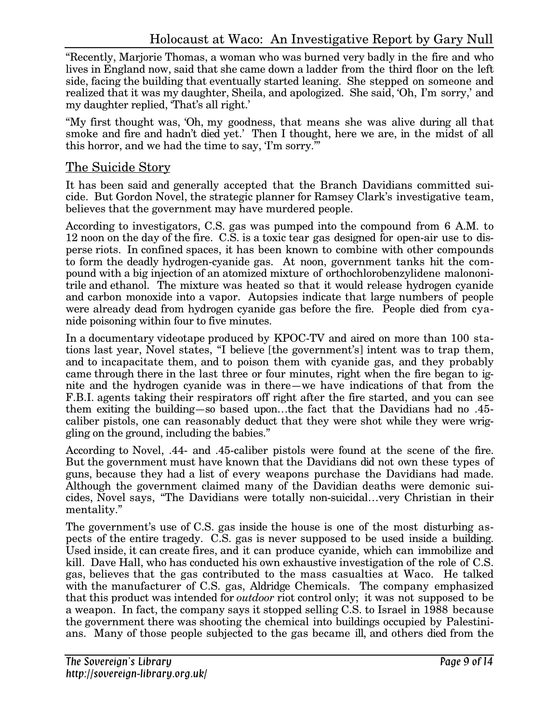"Recently, Marjorie Thomas, a woman who was burned very badly in the fire and who lives in England now, said that she came down a ladder from the third floor on the left side, facing the building that eventually started leaning. She stepped on someone and realized that it was my daughter, Sheila, and apologized. She said, 'Oh, I'm sorry,' and my daughter replied, 'That's all right.'

"My first thought was, 'Oh, my goodness, that means she was alive during all that smoke and fire and hadn't died yet.' Then I thought, here we are, in the midst of all this horror, and we had the time to say, 'I'm sorry.'"

## The Suicide Story

It has been said and generally accepted that the Branch Davidians committed suicide. But Gordon Novel, the strategic planner for Ramsey Clark's investigative team, believes that the government may have murdered people.

According to investigators, C.S. gas was pumped into the compound from 6 A.M. to 12 noon on the day of the fire. C.S. is a toxic tear gas designed for open-air use to disperse riots. In confined spaces, it has been known to combine with other compounds to form the deadly hydrogen-cyanide gas. At noon, government tanks hit the compound with a big injection of an atomized mixture of orthochlorobenzylidene malononitrile and ethanol. The mixture was heated so that it would release hydrogen cyanide and carbon monoxide into a vapor. Autopsies indicate that large numbers of people were already dead from hydrogen cyanide gas before the fire. People died from cyanide poisoning within four to five minutes.

In a documentary videotape produced by KPOC-TV and aired on more than 100 stations last year, Novel states, "I believe [the government's] intent was to trap them, and to incapacitate them, and to poison them with cyanide gas, and they probably came through there in the last three or four minutes, right when the fire began to ignite and the hydrogen cyanide was in there—we have indications of that from the F.B.I. agents taking their respirators off right after the fire started, and you can see them exiting the building—so based upon…the fact that the Davidians had no .45 caliber pistols, one can reasonably deduct that they were shot while they were wriggling on the ground, including the babies."

According to Novel, .44- and .45-caliber pistols were found at the scene of the fire. But the government must have known that the Davidians did not own these types of guns, because they had a list of every weapons purchase the Davidians had made. Although the government claimed many of the Davidian deaths were demonic suicides, Novel says, "The Davidians were totally non-suicidal…very Christian in their mentality."

The government's use of C.S. gas inside the house is one of the most disturbing aspects of the entire tragedy. C.S. gas is never supposed to be used inside a building. Used inside, it can create fires, and it can produce cyanide, which can immobilize and kill. Dave Hall, who has conducted his own exhaustive investigation of the role of C.S. gas, believes that the gas contributed to the mass casualties at Waco. He talked with the manufacturer of C.S. gas, Aldridge Chemicals. The company emphasized that this product was intended for *outdoor* riot control only; it was not supposed to be a weapon. In fact, the company says it stopped selling C.S. to Israel in 1988 because the government there was shooting the chemical into buildings occupied by Palestinians. Many of those people subjected to the gas became ill, and others died from the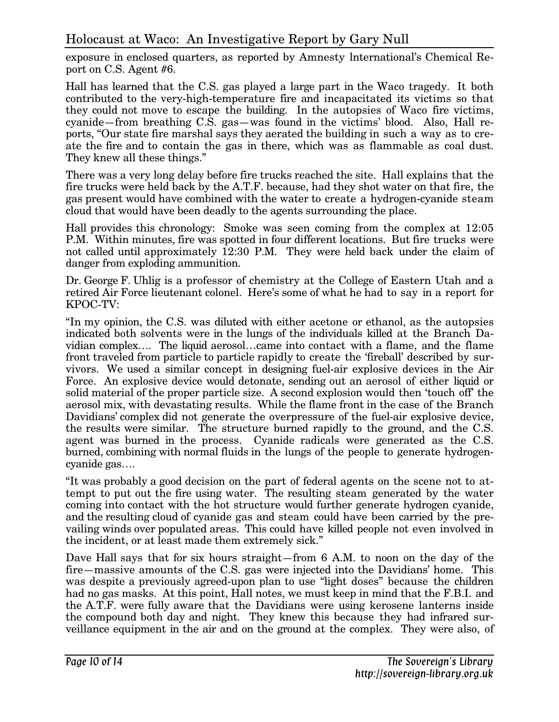exposure in enclosed quarters, as reported by Amnesty lnternational's Chemical Report on C.S. Agent #6.

Hall has learned that the C.S. gas played a large part in the Waco tragedy. It both contributed to the very-high-temperature fire and incapacitated its victims so that they could not move to escape the building. In the autopsies of Waco fire victims, cyanide—from breathing C.S. gas—was found in the victims' blood. Also, Hall reports, "Our state fire marshal says they aerated the building in such a way as to create the fire and to contain the gas in there, which was as flammable as coal dust. They knew all these things."

There was a very long delay before fire trucks reached the site. Hall explains that the fire trucks were held back by the A.T.F. because, had they shot water on that fire, the gas present would have combined with the water to create a hydrogen-cyanide steam cloud that would have been deadly to the agents surrounding the place.

Hall provides this chronology: Smoke was seen coming from the complex at 12:05 P.M. Within minutes, fire was spotted in four different locations. But fire trucks were not called until approximately 12:30 P.M. They were held back under the claim of danger from exploding ammunition.

Dr. George F. Uhlig is a professor of chemistry at the College of Eastern Utah and a retired Air Force lieutenant colonel. Here's some of what he had to say in a report for KPOC-TV:

"In my opinion, the C.S. was diluted with either acetone or ethanol, as the autopsies indicated both solvents were in the lungs of the individuals killed at the Branch Davidian complex…. The liquid aerosol…came into contact with a flame, and the flame front traveled from particle to particle rapidly to create the 'fireball' described by survivors. We used a similar concept in designing fuel-air explosive devices in the Air Force. An explosive device would detonate, sending out an aerosol of either liquid or solid material of the proper particle size. A second explosion would then 'touch off' the aerosol mix, with devastating results. While the flame front in the case of the Branch Davidians' complex did not generate the overpressure of the fuel-air explosive device, the results were similar. The structure burned rapidly to the ground, and the C.S. agent was burned in the process. Cyanide radicals were generated as the C.S. burned, combining with normal fluids in the lungs of the people to generate hydrogencyanide gas….

"It was probably a good decision on the part of federal agents on the scene not to attempt to put out the fire using water. The resulting steam generated by the water coming into contact with the hot structure would further generate hydrogen cyanide, and the resulting cloud of cyanide gas and steam could have been carried by the prevailing winds over populated areas. This could have killed people not even involved in the incident, or at least made them extremely sick."

Dave Hall says that for six hours straight—from 6 A.M. to noon on the day of the fire—massive amounts of the C.S. gas were injected into the Davidians' home. This was despite a previously agreed-upon plan to use "light doses" because the children had no gas masks. At this point, Hall notes, we must keep in mind that the F.B.I. and the A.T.F. were fully aware that the Davidians were using kerosene lanterns inside the compound both day and night. They knew this because they had infrared surveillance equipment in the air and on the ground at the complex. They were also, of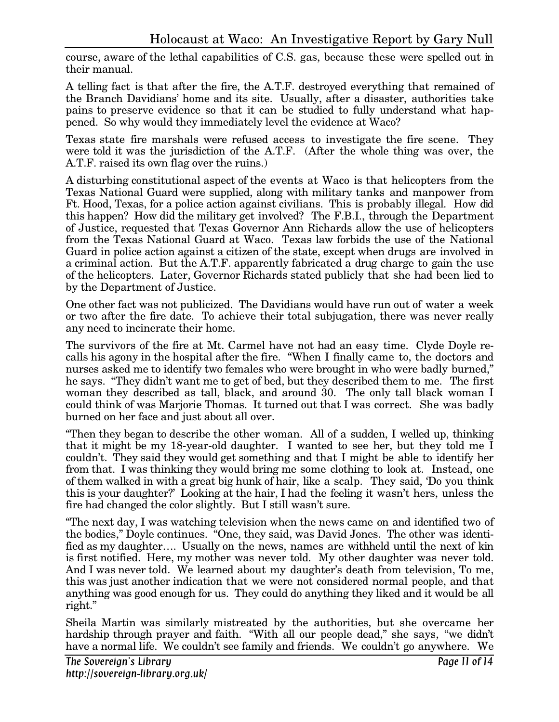course, aware of the lethal capabilities of C.S. gas, because these were spelled out in their manual.

A telling fact is that after the fire, the A.T.F. destroyed everything that remained of the Branch Davidians' home and its site. Usually, after a disaster, authorities take pains to preserve evidence so that it can be studied to fully understand what happened. So why would they immediately level the evidence at Waco?

Texas state fire marshals were refused access to investigate the fire scene. They were told it was the jurisdiction of the A.T.F. (After the whole thing was over, the A.T.F. raised its own flag over the ruins.)

A disturbing constitutional aspect of the events at Waco is that helicopters from the Texas National Guard were supplied, along with military tanks and manpower from Ft. Hood, Texas, for a police action against civilians. This is probably illegal. How did this happen? How did the military get involved? The F.B.I., through the Department of Justice, requested that Texas Governor Ann Richards allow the use of helicopters from the Texas National Guard at Waco. Texas law forbids the use of the National Guard in police action against a citizen of the state, except when drugs are involved in a criminal action. But the A.T.F. apparently fabricated a drug charge to gain the use of the helicopters. Later, Governor Richards stated publicly that she had been lied to by the Department of Justice.

One other fact was not publicized. The Davidians would have run out of water a week or two after the fire date. To achieve their total subjugation, there was never really any need to incinerate their home.

The survivors of the fire at Mt. Carmel have not had an easy time. Clyde Doyle recalls his agony in the hospital after the fire. "When I finally came to, the doctors and nurses asked me to identify two females who were brought in who were badly burned," he says. "They didn't want me to get of bed, but they described them to me. The first woman they described as tall, black, and around 30. The only tall black woman I could think of was Marjorie Thomas. It turned out that I was correct. She was badly burned on her face and just about all over.

"Then they began to describe the other woman. All of a sudden, I welled up, thinking that it might be my 18-year-old daughter. I wanted to see her, but they told me I couldn't. They said they would get something and that I might be able to identify her from that. I was thinking they would bring me some clothing to look at. Instead, one of them walked in with a great big hunk of hair, like a scalp. They said, 'Do you think this is your daughter?' Looking at the hair, I had the feeling it wasn't hers, unless the fire had changed the color slightly. But I still wasn't sure.

"The next day, I was watching television when the news came on and identified two of the bodies," Doyle continues. "One, they said, was David Jones. The other was identified as my daughter…. Usually on the news, names are withheld until the next of kin is first notified. Here, my mother was never told. My other daughter was never told. And I was never told. We learned about my daughter's death from television, To me, this was just another indication that we were not considered normal people, and that anything was good enough for us. They could do anything they liked and it would be all right."

Sheila Martin was similarly mistreated by the authorities, but she overcame her hardship through prayer and faith. "With all our people dead," she says, "we didn't have a normal life. We couldn't see family and friends. We couldn't go anywhere. We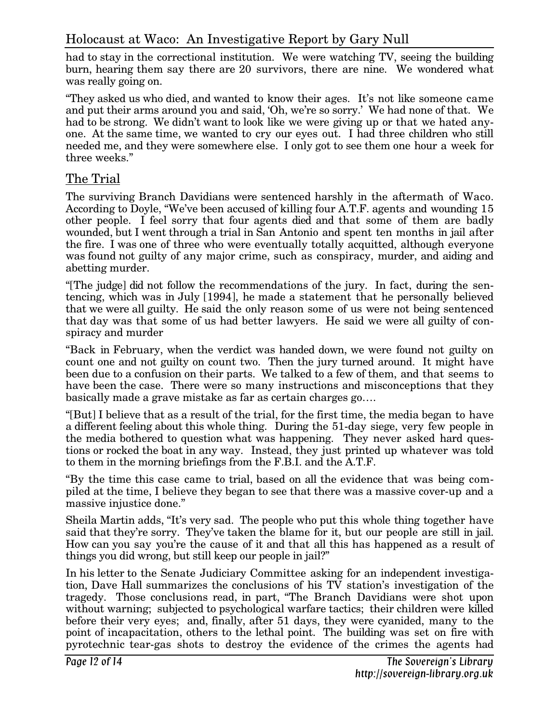had to stay in the correctional institution. We were watching TV, seeing the building burn, hearing them say there are 20 survivors, there are nine. We wondered what was really going on.

"They asked us who died, and wanted to know their ages. It's not like someone came and put their arms around you and said, 'Oh, we're so sorry.' We had none of that. We had to be strong. We didn't want to look like we were giving up or that we hated anyone. At the same time, we wanted to cry our eyes out. I had three children who still needed me, and they were somewhere else. I only got to see them one hour a week for three weeks."

#### The Trial

The surviving Branch Davidians were sentenced harshly in the aftermath of Waco. According to Doyle, "We've been accused of killing four A.T.F. agents and wounding 15 other people. I feel sorry that four agents died and that some of them are badly wounded, but I went through a trial in San Antonio and spent ten months in jail after the fire. I was one of three who were eventually totally acquitted, although everyone was found not guilty of any major crime, such as conspiracy, murder, and aiding and abetting murder.

"[The judge] did not follow the recommendations of the jury. In fact, during the sentencing, which was in July [1994], he made a statement that he personally believed that we were all guilty. He said the only reason some of us were not being sentenced that day was that some of us had better lawyers. He said we were all guilty of conspiracy and murder

"Back in February, when the verdict was handed down, we were found not guilty on count one and not guilty on count two. Then the jury turned around. It might have been due to a confusion on their parts. We talked to a few of them, and that seems to have been the case. There were so many instructions and misconceptions that they basically made a grave mistake as far as certain charges go….

"[But] I believe that as a result of the trial, for the first time, the media began to have a different feeling about this whole thing. During the 51-day siege, very few people in the media bothered to question what was happening. They never asked hard questions or rocked the boat in any way. Instead, they just printed up whatever was told to them in the morning briefings from the F.B.I. and the A.T.F.

"By the time this case came to trial, based on all the evidence that was being compiled at the time, I believe they began to see that there was a massive cover-up and a massive injustice done."

Sheila Martin adds, "It's very sad. The people who put this whole thing together have said that they're sorry. They've taken the blame for it, but our people are still in jail. How can you say you're the cause of it and that all this has happened as a result of things you did wrong, but still keep our people in jail?"

In his letter to the Senate Judiciary Committee asking for an independent investigation, Dave Hall summarizes the conclusions of his TV station's investigation of the tragedy. Those conclusions read, in part, "The Branch Davidians were shot upon without warning; subjected to psychological warfare tactics; their children were killed before their very eyes; and, finally, after 51 days, they were cyanided, many to the point of incapacitation, others to the lethal point. The building was set on fire with pyrotechnic tear-gas shots to destroy the evidence of the crimes the agents had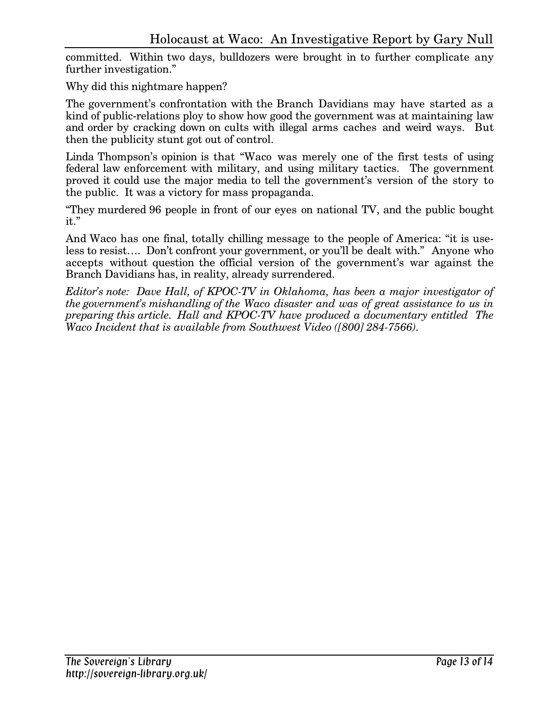committed. Within two days, bulldozers were brought in to further complicate any further investigation."

Why did this nightmare happen?

The government's confrontation with the Branch Davidians may have started as a kind of public-relations ploy to show how good the government was at maintaining law and order by cracking down on cults with illegal arms caches and weird ways. But then the publicity stunt got out of control.

Linda Thompson's opinion is that "Waco was merely one of the first tests of using federal law enforcement with military, and using military tactics. The government proved it could use the major media to tell the government's version of the story to the public. It was a victory for mass propaganda.

"They murdered 96 people in front of our eyes on national TV, and the public bought it."

And Waco has one final, totally chilling message to the people of America: "it is useless to resist…. Don't confront your government, or you'll be dealt with." Anyone who accepts without question the official version of the government's war against the Branch Davidians has, in reality, already surrendered.

*Editor's note: Dave Hall, of KPOC-TV in Oklahoma, has been a major investigator of the government's mishandling of the Waco disaster and was of great assistance to us in preparing this article. Hall and KPOC-TV have produced a documentary entitled The Waco Incident that is available from Southwest Video ([800] 284-7566).*